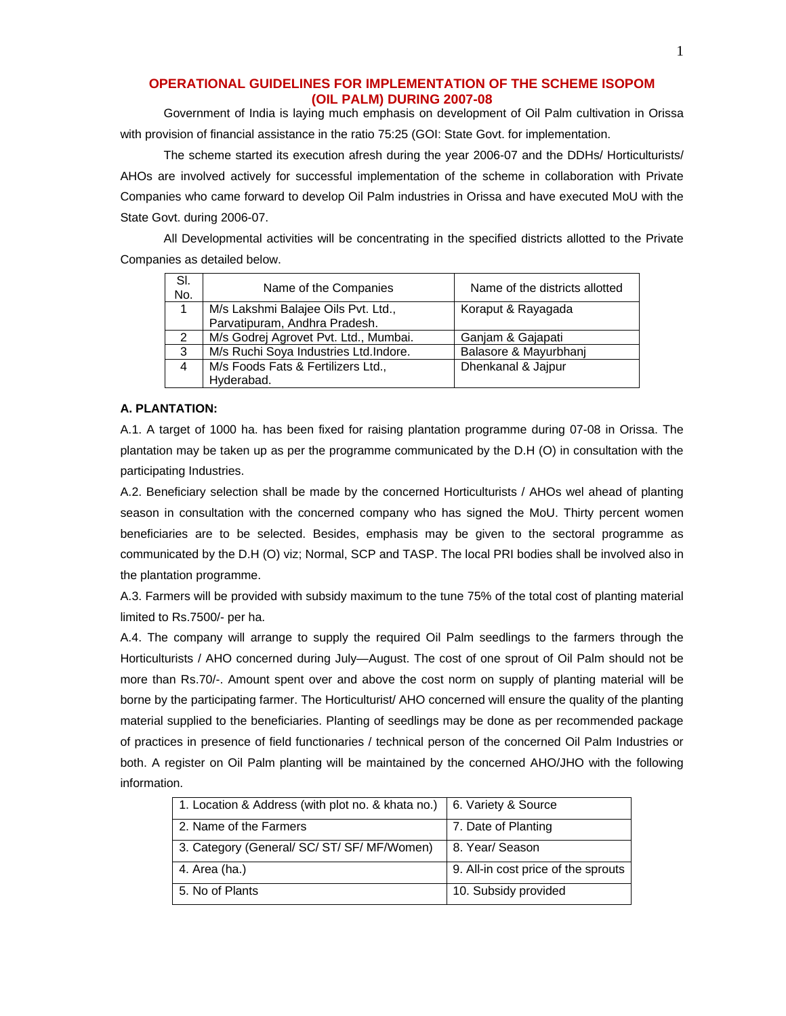# **OPERATIONAL GUIDELINES FOR IMPLEMENTATION OF THE SCHEME ISOPOM (OIL PALM) DURING 2007-08**

Government of India is laying much emphasis on development of Oil Palm cultivation in Orissa with provision of financial assistance in the ratio 75:25 (GOI: State Govt. for implementation.

The scheme started its execution afresh during the year 2006-07 and the DDHs/ Horticulturists/ AHOs are involved actively for successful implementation of the scheme in collaboration with Private Companies who came forward to develop Oil Palm industries in Orissa and have executed MoU with the State Govt. during 2006-07.

All Developmental activities will be concentrating in the specified districts allotted to the Private Companies as detailed below.

| SI.<br>No. | Name of the Companies                 | Name of the districts allotted |
|------------|---------------------------------------|--------------------------------|
|            | M/s Lakshmi Balajee Oils Pvt. Ltd.,   | Koraput & Rayagada             |
|            | Parvatipuram, Andhra Pradesh.         |                                |
| 2          | M/s Godrej Agrovet Pvt. Ltd., Mumbai. | Ganjam & Gajapati              |
| 3          | M/s Ruchi Soya Industries Ltd.Indore. | Balasore & Mayurbhanj          |
| 4          | M/s Foods Fats & Fertilizers Ltd.,    | Dhenkanal & Jajpur             |
|            | Hyderabad.                            |                                |

## **A. PLANTATION:**

A.1. A target of 1000 ha. has been fixed for raising plantation programme during 07-08 in Orissa. The plantation may be taken up as per the programme communicated by the D.H (O) in consultation with the participating Industries.

A.2. Beneficiary selection shall be made by the concerned Horticulturists / AHOs wel ahead of planting season in consultation with the concerned company who has signed the MoU. Thirty percent women beneficiaries are to be selected. Besides, emphasis may be given to the sectoral programme as communicated by the D.H (O) viz; Normal, SCP and TASP. The local PRI bodies shall be involved also in the plantation programme.

A.3. Farmers will be provided with subsidy maximum to the tune 75% of the total cost of planting material limited to Rs.7500/- per ha.

A.4. The company will arrange to supply the required Oil Palm seedlings to the farmers through the Horticulturists / AHO concerned during July—August. The cost of one sprout of Oil Palm should not be more than Rs.70/-. Amount spent over and above the cost norm on supply of planting material will be borne by the participating farmer. The Horticulturist/ AHO concerned will ensure the quality of the planting material supplied to the beneficiaries. Planting of seedlings may be done as per recommended package of practices in presence of field functionaries / technical person of the concerned Oil Palm Industries or both. A register on Oil Palm planting will be maintained by the concerned AHO/JHO with the following information.

| 1. Location & Address (with plot no. & khata no.)   6. Variety & Source |  |  |
|-------------------------------------------------------------------------|--|--|
|                                                                         |  |  |
| 7. Date of Planting                                                     |  |  |
|                                                                         |  |  |
| 8. Year/ Season                                                         |  |  |
|                                                                         |  |  |
| 9. All-in cost price of the sprouts                                     |  |  |
|                                                                         |  |  |
| 10. Subsidy provided                                                    |  |  |
|                                                                         |  |  |
|                                                                         |  |  |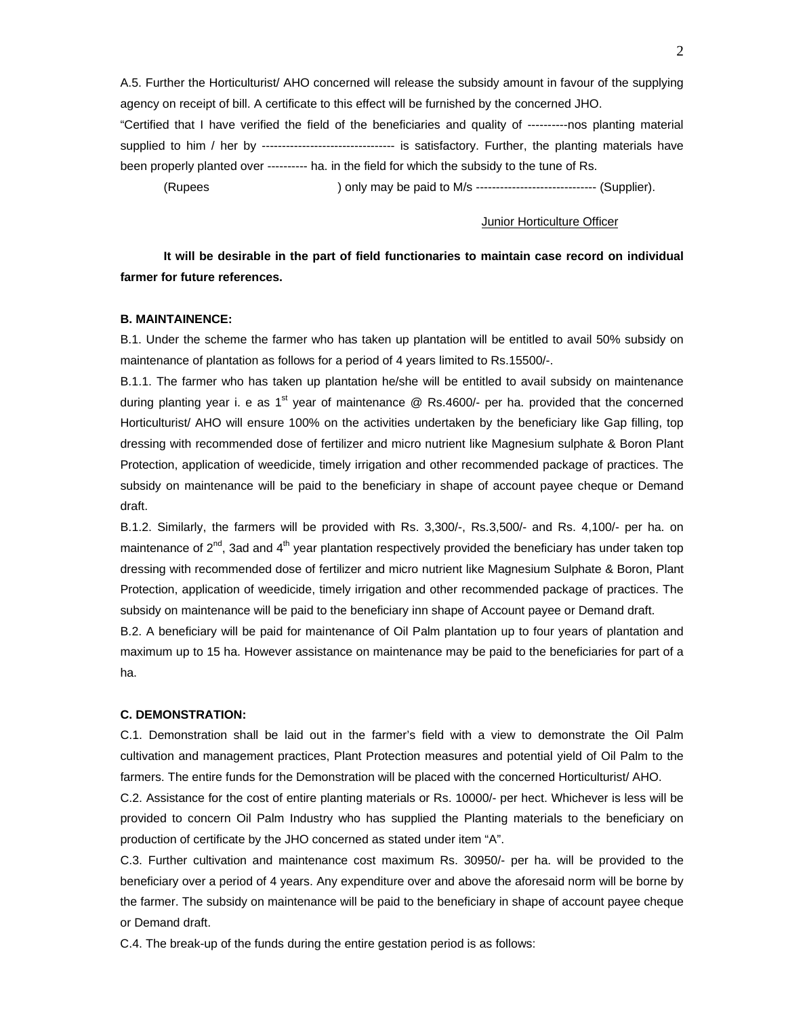A.5. Further the Horticulturist/ AHO concerned will release the subsidy amount in favour of the supplying agency on receipt of bill. A certificate to this effect will be furnished by the concerned JHO.

"Certified that I have verified the field of the beneficiaries and quality of ----------nos planting material supplied to him / her by --------------------------------- is satisfactory. Further, the planting materials have been properly planted over ---------- ha. in the field for which the subsidy to the tune of Rs.

(Rupees ) only may be paid to M/s ------------------------------ (Supplier).

#### Junior Horticulture Officer

**It will be desirable in the part of field functionaries to maintain case record on individual farmer for future references.** 

# **B. MAINTAINENCE:**

B.1. Under the scheme the farmer who has taken up plantation will be entitled to avail 50% subsidy on maintenance of plantation as follows for a period of 4 years limited to Rs.15500/-.

B.1.1. The farmer who has taken up plantation he/she will be entitled to avail subsidy on maintenance during planting year i. e as 1<sup>st</sup> year of maintenance  $\textcircled{R}$  Rs.4600/- per ha. provided that the concerned Horticulturist/ AHO will ensure 100% on the activities undertaken by the beneficiary like Gap filling, top dressing with recommended dose of fertilizer and micro nutrient like Magnesium sulphate & Boron Plant Protection, application of weedicide, timely irrigation and other recommended package of practices. The subsidy on maintenance will be paid to the beneficiary in shape of account payee cheque or Demand draft.

B.1.2. Similarly, the farmers will be provided with Rs. 3,300/-, Rs.3,500/- and Rs. 4,100/- per ha. on maintenance of  $2^{nd}$ , 3ad and  $4^{th}$  year plantation respectively provided the beneficiary has under taken top dressing with recommended dose of fertilizer and micro nutrient like Magnesium Sulphate & Boron, Plant Protection, application of weedicide, timely irrigation and other recommended package of practices. The subsidy on maintenance will be paid to the beneficiary inn shape of Account payee or Demand draft.

B.2. A beneficiary will be paid for maintenance of Oil Palm plantation up to four years of plantation and maximum up to 15 ha. However assistance on maintenance may be paid to the beneficiaries for part of a ha.

### **C. DEMONSTRATION:**

C.1. Demonstration shall be laid out in the farmer's field with a view to demonstrate the Oil Palm cultivation and management practices, Plant Protection measures and potential yield of Oil Palm to the farmers. The entire funds for the Demonstration will be placed with the concerned Horticulturist/ AHO.

C.2. Assistance for the cost of entire planting materials or Rs. 10000/- per hect. Whichever is less will be provided to concern Oil Palm Industry who has supplied the Planting materials to the beneficiary on production of certificate by the JHO concerned as stated under item "A".

C.3. Further cultivation and maintenance cost maximum Rs. 30950/- per ha. will be provided to the beneficiary over a period of 4 years. Any expenditure over and above the aforesaid norm will be borne by the farmer. The subsidy on maintenance will be paid to the beneficiary in shape of account payee cheque or Demand draft.

C.4. The break-up of the funds during the entire gestation period is as follows: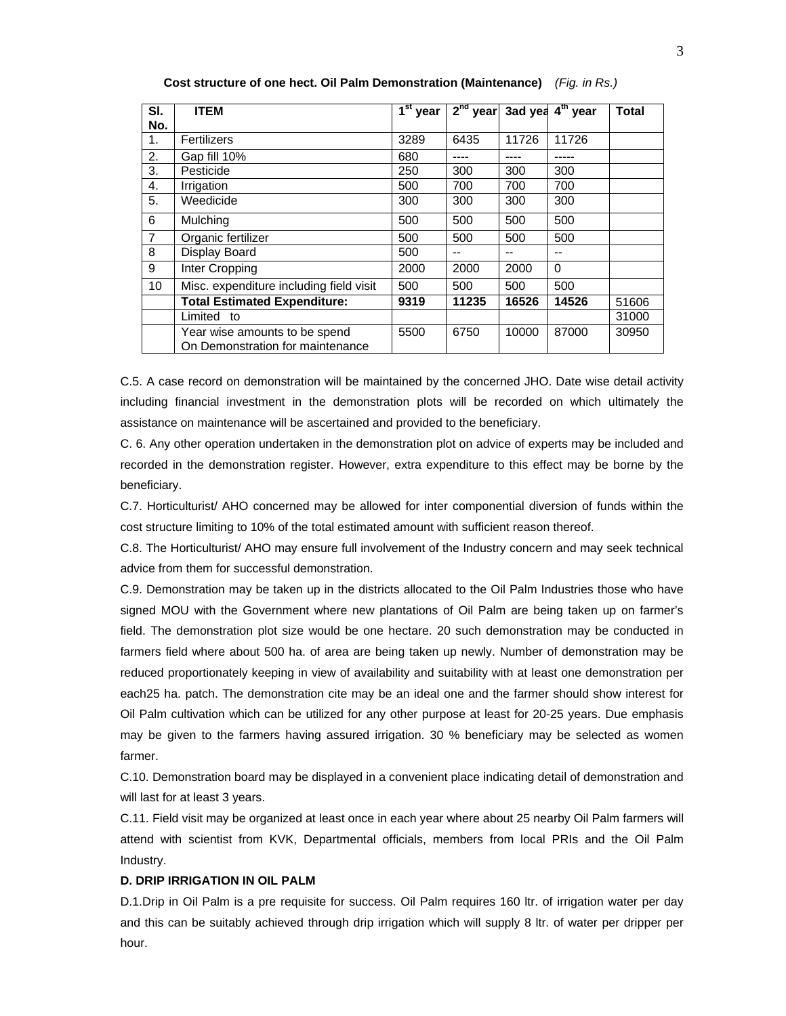| SI.            | <b>ITEM</b>                                                       | $\overline{1^{\text{st}}}$ year | $2nd$ year |       | 3ad yea 4 <sup>th</sup> year | <b>Total</b> |
|----------------|-------------------------------------------------------------------|---------------------------------|------------|-------|------------------------------|--------------|
| No.            |                                                                   |                                 |            |       |                              |              |
| 1.             | Fertilizers                                                       | 3289                            | 6435       | 11726 | 11726                        |              |
| 2.             | Gap fill 10%                                                      | 680                             | ----       |       |                              |              |
| 3.             | Pesticide                                                         | 250                             | 300        | 300   | 300                          |              |
| 4.             | Irrigation                                                        | 500                             | 700        | 700   | 700                          |              |
| 5.             | Weedicide                                                         | 300                             | 300        | 300   | 300                          |              |
| 6              | Mulching                                                          | 500                             | 500        | 500   | 500                          |              |
| $\overline{7}$ | Organic fertilizer                                                | 500                             | 500        | 500   | 500                          |              |
| 8              | Display Board                                                     | 500                             | --         | --    | --                           |              |
| 9              | Inter Cropping                                                    | 2000                            | 2000       | 2000  | $\Omega$                     |              |
| 10             | Misc. expenditure including field visit                           | 500                             | 500        | 500   | 500                          |              |
|                | <b>Total Estimated Expenditure:</b>                               | 9319                            | 11235      | 16526 | 14526                        | 51606        |
|                | Limited to                                                        |                                 |            |       |                              | 31000        |
|                | Year wise amounts to be spend<br>On Demonstration for maintenance | 5500                            | 6750       | 10000 | 87000                        | 30950        |

**Cost structure of one hect. Oil Palm Demonstration (Maintenance)** *(Fig. in Rs.)* 

C.5. A case record on demonstration will be maintained by the concerned JHO. Date wise detail activity including financial investment in the demonstration plots will be recorded on which ultimately the assistance on maintenance will be ascertained and provided to the beneficiary.

C. 6. Any other operation undertaken in the demonstration plot on advice of experts may be included and recorded in the demonstration register. However, extra expenditure to this effect may be borne by the beneficiary.

C.7. Horticulturist/ AHO concerned may be allowed for inter componential diversion of funds within the cost structure limiting to 10% of the total estimated amount with sufficient reason thereof.

C.8. The Horticulturist/ AHO may ensure full involvement of the Industry concern and may seek technical advice from them for successful demonstration.

C.9. Demonstration may be taken up in the districts allocated to the Oil Palm Industries those who have signed MOU with the Government where new plantations of Oil Palm are being taken up on farmer's field. The demonstration plot size would be one hectare. 20 such demonstration may be conducted in farmers field where about 500 ha. of area are being taken up newly. Number of demonstration may be reduced proportionately keeping in view of availability and suitability with at least one demonstration per each25 ha. patch. The demonstration cite may be an ideal one and the farmer should show interest for Oil Palm cultivation which can be utilized for any other purpose at least for 20-25 years. Due emphasis may be given to the farmers having assured irrigation. 30 % beneficiary may be selected as women farmer.

C.10. Demonstration board may be displayed in a convenient place indicating detail of demonstration and will last for at least 3 years.

C.11. Field visit may be organized at least once in each year where about 25 nearby Oil Palm farmers will attend with scientist from KVK, Departmental officials, members from local PRIs and the Oil Palm Industry.

## **D. DRIP IRRIGATION IN OIL PALM**

D.1.Drip in Oil Palm is a pre requisite for success. Oil Palm requires 160 ltr. of irrigation water per day and this can be suitably achieved through drip irrigation which will supply 8 ltr. of water per dripper per hour.